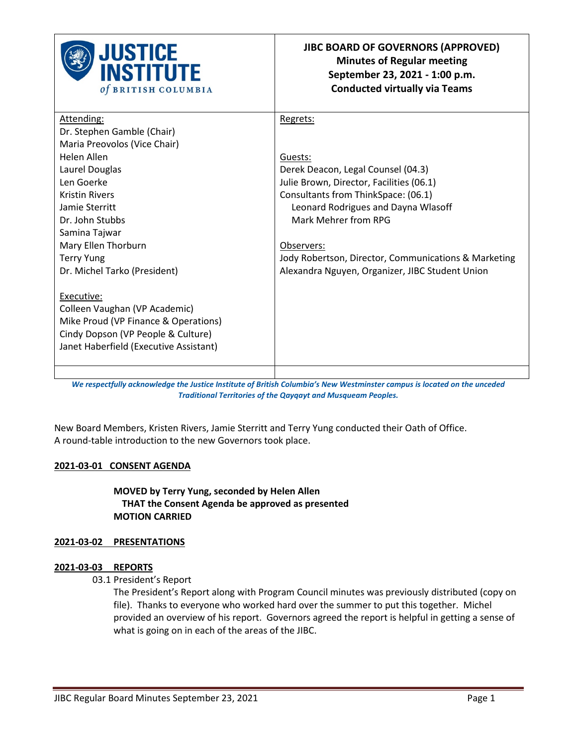

| Attending:                             | Regrets:                                             |
|----------------------------------------|------------------------------------------------------|
| Dr. Stephen Gamble (Chair)             |                                                      |
| Maria Preovolos (Vice Chair)           |                                                      |
| Helen Allen                            | Guests:                                              |
| Laurel Douglas                         | Derek Deacon, Legal Counsel (04.3)                   |
| Len Goerke                             | Julie Brown, Director, Facilities (06.1)             |
| <b>Kristin Rivers</b>                  | Consultants from ThinkSpace: (06.1)                  |
| Jamie Sterritt                         | Leonard Rodrigues and Dayna Wlasoff                  |
| Dr. John Stubbs                        | Mark Mehrer from RPG                                 |
| Samina Tajwar                          |                                                      |
| Mary Ellen Thorburn                    | Observers:                                           |
| <b>Terry Yung</b>                      | Jody Robertson, Director, Communications & Marketing |
| Dr. Michel Tarko (President)           | Alexandra Nguyen, Organizer, JIBC Student Union      |
|                                        |                                                      |
| Executive:                             |                                                      |
| Colleen Vaughan (VP Academic)          |                                                      |
| Mike Proud (VP Finance & Operations)   |                                                      |
| Cindy Dopson (VP People & Culture)     |                                                      |
| Janet Haberfield (Executive Assistant) |                                                      |
|                                        |                                                      |
|                                        |                                                      |

*We respectfully acknowledge the Justice Institute of British Columbia's New Westminster campus is located on the unceded Traditional Territories of the Qayqayt and Musqueam Peoples.*

New Board Members, Kristen Rivers, Jamie Sterritt and Terry Yung conducted their Oath of Office. A round-table introduction to the new Governors took place.

## **2021-03-01 CONSENT AGENDA**

**MOVED by Terry Yung, seconded by Helen Allen THAT the Consent Agenda be approved as presented MOTION CARRIED**

## **2021-03-02 PRESENTATIONS**

### **2021-03-03 REPORTS**

03.1 President's Report

The President's Report along with Program Council minutes was previously distributed (copy on file). Thanks to everyone who worked hard over the summer to put this together. Michel provided an overview of his report. Governors agreed the report is helpful in getting a sense of what is going on in each of the areas of the JIBC.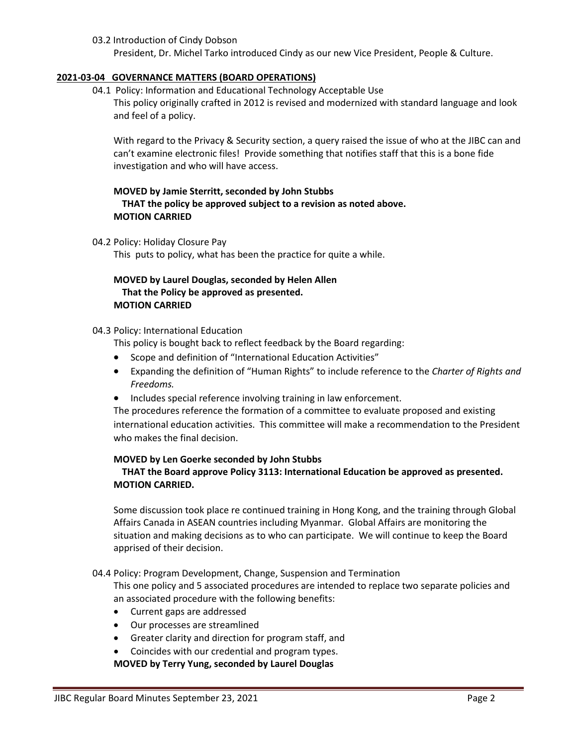### 03.2 Introduction of Cindy Dobson

President, Dr. Michel Tarko introduced Cindy as our new Vice President, People & Culture.

### **2021-03-04 GOVERNANCE MATTERS (BOARD OPERATIONS)**

04.1 Policy: Information and Educational Technology Acceptable Use

This policy originally crafted in 2012 is revised and modernized with standard language and look and feel of a policy.

With regard to the Privacy & Security section, a query raised the issue of who at the JIBC can and can't examine electronic files! Provide something that notifies staff that this is a bone fide investigation and who will have access.

# **MOVED by Jamie Sterritt, seconded by John Stubbs THAT the policy be approved subject to a revision as noted above. MOTION CARRIED**

#### 04.2 Policy: Holiday Closure Pay

This puts to policy, what has been the practice for quite a while.

# **MOVED by Laurel Douglas, seconded by Helen Allen That the Policy be approved as presented. MOTION CARRIED**

## 04.3 Policy: International Education

This policy is bought back to reflect feedback by the Board regarding:

- Scope and definition of "International Education Activities"
- Expanding the definition of "Human Rights" to include reference to the *Charter of Rights and Freedoms.*
- Includes special reference involving training in law enforcement.

The procedures reference the formation of a committee to evaluate proposed and existing international education activities. This committee will make a recommendation to the President who makes the final decision.

#### **MOVED by Len Goerke seconded by John Stubbs**

# **THAT the Board approve Policy 3113: International Education be approved as presented. MOTION CARRIED.**

Some discussion took place re continued training in Hong Kong, and the training through Global Affairs Canada in ASEAN countries including Myanmar. Global Affairs are monitoring the situation and making decisions as to who can participate. We will continue to keep the Board apprised of their decision.

04.4 Policy: Program Development, Change, Suspension and Termination

This one policy and 5 associated procedures are intended to replace two separate policies and an associated procedure with the following benefits:

- Current gaps are addressed
- Our processes are streamlined
- Greater clarity and direction for program staff, and
- Coincides with our credential and program types.

**MOVED by Terry Yung, seconded by Laurel Douglas**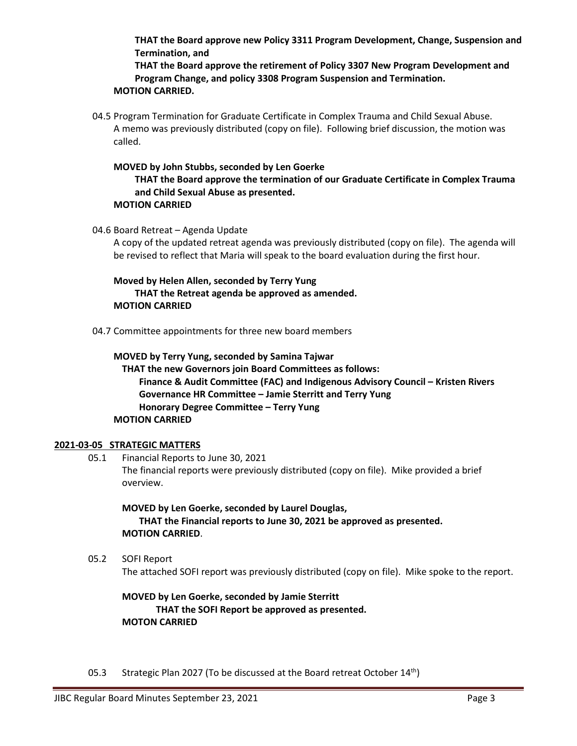**THAT the Board approve new Policy 3311 Program Development, Change, Suspension and Termination, and**

**THAT the Board approve the retirement of Policy 3307 New Program Development and Program Change, and policy 3308 Program Suspension and Termination. MOTION CARRIED.**

04.5 Program Termination for Graduate Certificate in Complex Trauma and Child Sexual Abuse. A memo was previously distributed (copy on file). Following brief discussion, the motion was called.

**MOVED by John Stubbs, seconded by Len Goerke THAT the Board approve the termination of our Graduate Certificate in Complex Trauma and Child Sexual Abuse as presented. MOTION CARRIED**

04.6 Board Retreat – Agenda Update

A copy of the updated retreat agenda was previously distributed (copy on file). The agenda will be revised to reflect that Maria will speak to the board evaluation during the first hour.

**Moved by Helen Allen, seconded by Terry Yung THAT the Retreat agenda be approved as amended. MOTION CARRIED**

04.7 Committee appointments for three new board members

**MOVED by Terry Yung, seconded by Samina Tajwar THAT the new Governors join Board Committees as follows: Finance & Audit Committee (FAC) and Indigenous Advisory Council – Kristen Rivers Governance HR Committee – Jamie Sterritt and Terry Yung Honorary Degree Committee – Terry Yung MOTION CARRIED**

## **2021-03-05 STRATEGIC MATTERS**

05.1 Financial Reports to June 30, 2021 The financial reports were previously distributed (copy on file). Mike provided a brief overview.

**MOVED by Len Goerke, seconded by Laurel Douglas, THAT the Financial reports to June 30, 2021 be approved as presented. MOTION CARRIED**.

05.2 SOFI Report The attached SOFI report was previously distributed (copy on file). Mike spoke to the report.

**MOVED by Len Goerke, seconded by Jamie Sterritt THAT the SOFI Report be approved as presented. MOTON CARRIED**

05.3 Strategic Plan 2027 (To be discussed at the Board retreat October 14<sup>th</sup>)